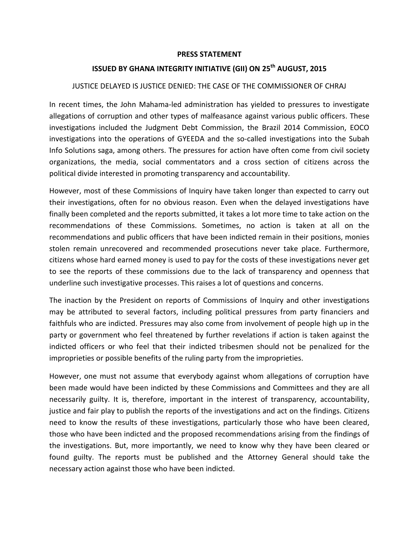## **PRESS STATEMENT**

## **ISSUED BY GHANA INTEGRITY INITIATIVE (GII) ON 25th AUGUST, 2015**

## JUSTICE DELAYED IS JUSTICE DENIED: THE CASE OF THE COMMISSIONER OF CHRAJ

In recent times, the John Mahama-led administration has yielded to pressures to investigate allegations of corruption and other types of malfeasance against various public officers. These investigations included the Judgment Debt Commission, the Brazil 2014 Commission, EOCO investigations into the operations of GYEEDA and the so-called investigations into the Subah Info Solutions saga, among others. The pressures for action have often come from civil society organizations, the media, social commentators and a cross section of citizens across the political divide interested in promoting transparency and accountability.

However, most of these Commissions of Inquiry have taken longer than expected to carry out their investigations, often for no obvious reason. Even when the delayed investigations have finally been completed and the reports submitted, it takes a lot more time to take action on the recommendations of these Commissions. Sometimes, no action is taken at all on the recommendations and public officers that have been indicted remain in their positions, monies stolen remain unrecovered and recommended prosecutions never take place. Furthermore, citizens whose hard earned money is used to pay for the costs of these investigations never get to see the reports of these commissions due to the lack of transparency and openness that underline such investigative processes. This raises a lot of questions and concerns.

The inaction by the President on reports of Commissions of Inquiry and other investigations may be attributed to several factors, including political pressures from party financiers and faithfuls who are indicted. Pressures may also come from involvement of people high up in the party or government who feel threatened by further revelations if action is taken against the indicted officers or who feel that their indicted tribesmen should not be penalized for the improprieties or possible benefits of the ruling party from the improprieties.

However, one must not assume that everybody against whom allegations of corruption have been made would have been indicted by these Commissions and Committees and they are all necessarily guilty. It is, therefore, important in the interest of transparency, accountability, justice and fair play to publish the reports of the investigations and act on the findings. Citizens need to know the results of these investigations, particularly those who have been cleared, those who have been indicted and the proposed recommendations arising from the findings of the investigations. But, more importantly, we need to know why they have been cleared or found guilty. The reports must be published and the Attorney General should take the necessary action against those who have been indicted.